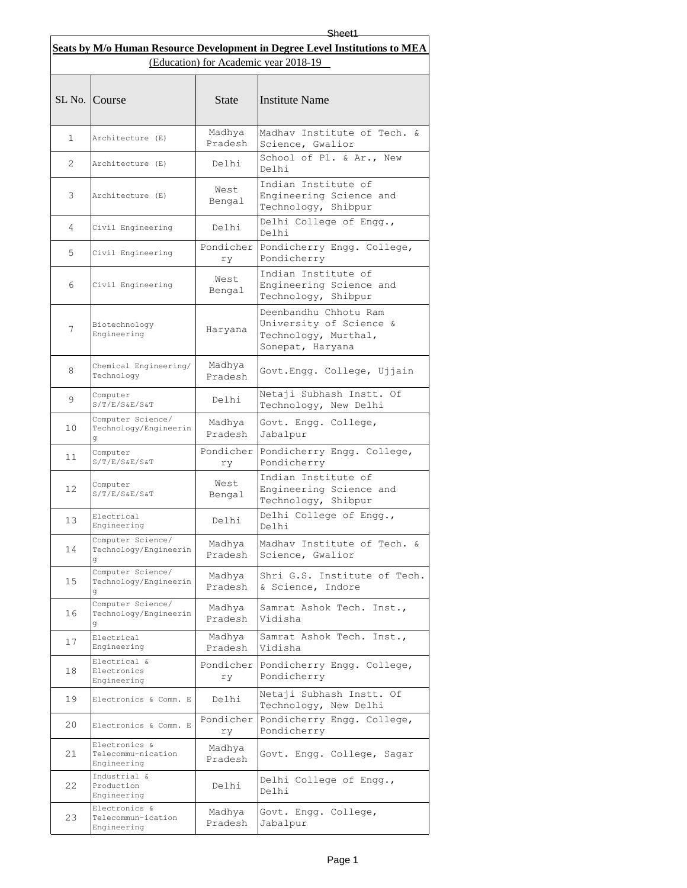|                                       |                                                    |                   | Sheet1<br>Seats by M/o Human Resource Development in Degree Level Institutions to MEA        |  |
|---------------------------------------|----------------------------------------------------|-------------------|----------------------------------------------------------------------------------------------|--|
| (Education) for Academic year 2018-19 |                                                    |                   |                                                                                              |  |
|                                       | SL No. Course                                      | State             | <b>Institute Name</b>                                                                        |  |
| $\mathbf{1}$                          | Architecture (E)                                   | Madhya<br>Pradesh | Madhav Institute of Tech. &<br>Science, Gwalior                                              |  |
| 2                                     | Architecture (E)                                   | Delhi             | School of Pl. & Ar., New<br>Delhi                                                            |  |
| 3                                     | Architecture (E)                                   | West<br>Bengal    | Indian Institute of<br>Engineering Science and<br>Technology, Shibpur                        |  |
| 4                                     | Civil Engineering                                  | Delhi             | Delhi College of Engg.,<br>Delhi                                                             |  |
| 5                                     | Civil Engineering                                  | Pondicher<br>ry   | Pondicherry Engg. College,<br>Pondicherry                                                    |  |
| 6                                     | Civil Engineering                                  | West<br>Bengal    | Indian Institute of<br>Engineering Science and<br>Technology, Shibpur                        |  |
| 7                                     | Biotechnology<br>Engineering                       | Haryana           | Deenbandhu Chhotu Ram<br>University of Science &<br>Technology, Murthal,<br>Sonepat, Haryana |  |
| 8                                     | Chemical Engineering/<br>Technology                | Madhya<br>Pradesh | Govt.Engg. College, Ujjain                                                                   |  |
| 9                                     | Computer<br>$S/T/E/S\&E/S\&T$                      | Delhi             | Netaji Subhash Instt. Of<br>Technology, New Delhi                                            |  |
| 10                                    | Computer Science/<br>Technology/Engineerin         | Madhya<br>Pradesh | Govt. Engg. College,<br>Jabalpur                                                             |  |
| 11                                    | Computer<br>$S/T/E/S\&E/S\&T$                      | Pondicher<br>rу   | Pondicherry Engg. College,<br>Pondicherry                                                    |  |
| 12                                    | Computer<br>S/T/E/S&E/S&T                          | West<br>Bengal    | Indian Institute of<br>Engineering Science and<br>Technology, Shibpur                        |  |
| 13                                    | Electrical<br>Engineering                          | Delhi             | Delhi College of Engg.,<br>Delhi                                                             |  |
| 14                                    | Computer Science/<br>Technology/Engineerin<br>đ    | Madhya<br>Pradesh | Madhav Institute of Tech. &<br>Science, Gwalior                                              |  |
| 15                                    | Computer Science/<br>Technology/Engineerin<br>đ    | Madhya<br>Pradesh | Shri G.S. Institute of Tech.<br>& Science, Indore                                            |  |
| 16                                    | Computer Science/<br>Technology/Engineerin         | Madhya<br>Pradesh | Samrat Ashok Tech. Inst.,<br>Vidisha                                                         |  |
| 17                                    | Electrical<br>Engineering                          | Madhya<br>Pradesh | Samrat Ashok Tech. Inst.,<br>Vidisha                                                         |  |
| 18                                    | Electrical &<br>Electronics<br>Engineering         | Pondicher<br>rу   | Pondicherry Engg. College,<br>Pondicherry                                                    |  |
| 19                                    | Electronics & Comm. E                              | Delhi             | Netaji Subhash Instt. Of<br>Technology, New Delhi                                            |  |
| 20                                    | Electronics & Comm. E                              | Pondicher<br>rу   | Pondicherry Engg. College,<br>Pondicherry                                                    |  |
| 21                                    | Electronics &<br>Telecommu-nication<br>Engineering | Madhya<br>Pradesh | Govt. Engg. College, Sagar                                                                   |  |
| 22                                    | Industrial &<br>Production<br>Engineering          | Delhi             | Delhi College of Engg.,<br>Delhi                                                             |  |
| 23                                    | Electronics &<br>Telecommun-ication<br>Engineering | Madhya<br>Pradesh | Govt. Engg. College,<br>Jabalpur                                                             |  |